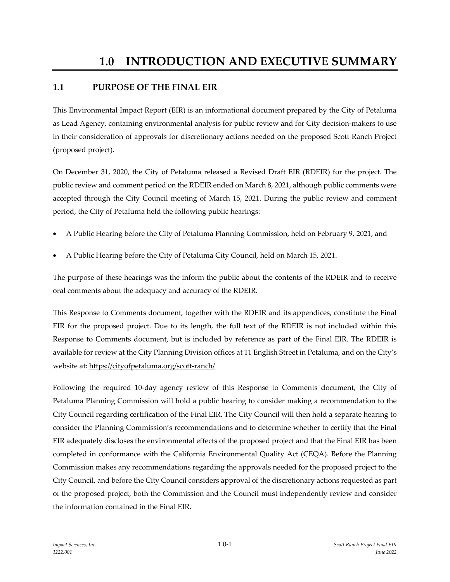## **1.1 PURPOSE OF THE FINAL EIR**

This Environmental Impact Report (EIR) is an informational document prepared by the City of Petaluma as Lead Agency, containing environmental analysis for public review and for City decision-makers to use in their consideration of approvals for discretionary actions needed on the proposed Scott Ranch Project (proposed project).

On December 31, 2020, the City of Petaluma released a Revised Draft EIR (RDEIR) for the project. The public review and comment period on the RDEIR ended on March 8, 2021, although public comments were accepted through the City Council meeting of March 15, 2021. During the public review and comment period, the City of Petaluma held the following public hearings:

- A Public Hearing before the City of Petaluma Planning Commission, held on February 9, 2021, and
- A Public Hearing before the City of Petaluma City Council, held on March 15, 2021.

The purpose of these hearings was the inform the public about the contents of the RDEIR and to receive oral comments about the adequacy and accuracy of the RDEIR.

This Response to Comments document, together with the RDEIR and its appendices, constitute the Final EIR for the proposed project. Due to its length, the full text of the RDEIR is not included within this Response to Comments document, but is included by reference as part of the Final EIR. The RDEIR is available for review at the City Planning Division offices at 11 English Street in Petaluma, and on the City's website at: <https://cityofpetaluma.org/scott-ranch/>

Following the required 10-day agency review of this Response to Comments document, the City of Petaluma Planning Commission will hold a public hearing to consider making a recommendation to the City Council regarding certification of the Final EIR. The City Council will then hold a separate hearing to consider the Planning Commission's recommendations and to determine whether to certify that the Final EIR adequately discloses the environmental effects of the proposed project and that the Final EIR has been completed in conformance with the California Environmental Quality Act (CEQA). Before the Planning Commission makes any recommendations regarding the approvals needed for the proposed project to the City Council, and before the City Council considers approval of the discretionary actions requested as part of the proposed project, both the Commission and the Council must independently review and consider the information contained in the Final EIR.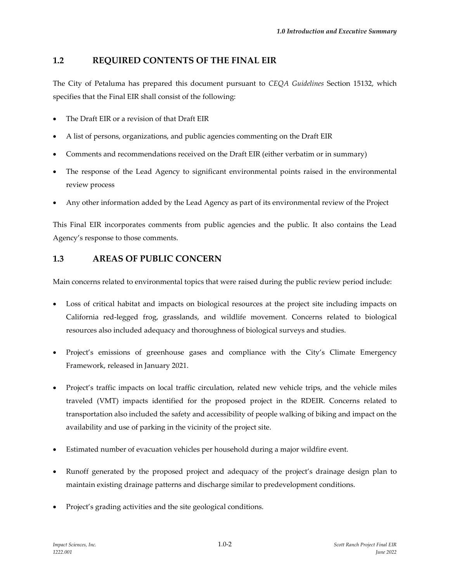### **1.2 REQUIRED CONTENTS OF THE FINAL EIR**

The City of Petaluma has prepared this document pursuant to *CEQA Guidelines* Section 15132, which specifies that the Final EIR shall consist of the following:

- The Draft EIR or a revision of that Draft EIR
- A list of persons, organizations, and public agencies commenting on the Draft EIR
- Comments and recommendations received on the Draft EIR (either verbatim or in summary)
- The response of the Lead Agency to significant environmental points raised in the environmental review process
- Any other information added by the Lead Agency as part of its environmental review of the Project

This Final EIR incorporates comments from public agencies and the public. It also contains the Lead Agency's response to those comments.

### **1.3 AREAS OF PUBLIC CONCERN**

Main concerns related to environmental topics that were raised during the public review period include:

- Loss of critical habitat and impacts on biological resources at the project site including impacts on California red-legged frog, grasslands, and wildlife movement. Concerns related to biological resources also included adequacy and thoroughness of biological surveys and studies.
- Project's emissions of greenhouse gases and compliance with the City's Climate Emergency Framework, released in January 2021.
- Project's traffic impacts on local traffic circulation, related new vehicle trips, and the vehicle miles traveled (VMT) impacts identified for the proposed project in the RDEIR. Concerns related to transportation also included the safety and accessibility of people walking of biking and impact on the availability and use of parking in the vicinity of the project site.
- Estimated number of evacuation vehicles per household during a major wildfire event.
- Runoff generated by the proposed project and adequacy of the project's drainage design plan to maintain existing drainage patterns and discharge similar to predevelopment conditions.
- Project's grading activities and the site geological conditions.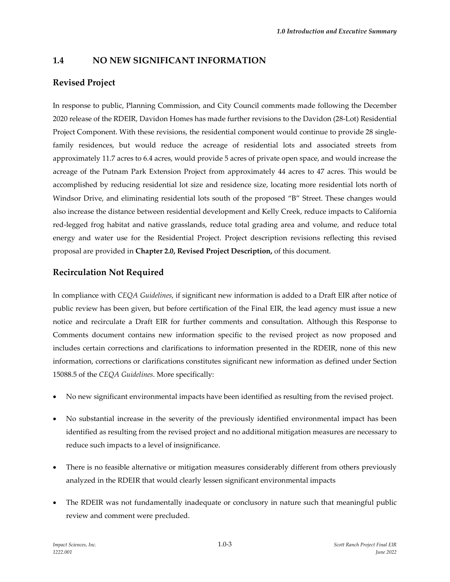### **1.4 NO NEW SIGNIFICANT INFORMATION**

### **Revised Project**

In response to public, Planning Commission, and City Council comments made following the December 2020 release of the RDEIR, Davidon Homes has made further revisions to the Davidon (28-Lot) Residential Project Component. With these revisions, the residential component would continue to provide 28 singlefamily residences, but would reduce the acreage of residential lots and associated streets from approximately 11.7 acres to 6.4 acres, would provide 5 acres of private open space, and would increase the acreage of the Putnam Park Extension Project from approximately 44 acres to 47 acres. This would be accomplished by reducing residential lot size and residence size, locating more residential lots north of Windsor Drive, and eliminating residential lots south of the proposed "B" Street. These changes would also increase the distance between residential development and Kelly Creek, reduce impacts to California red-legged frog habitat and native grasslands, reduce total grading area and volume, and reduce total energy and water use for the Residential Project. Project description revisions reflecting this revised proposal are provided in **Chapter 2.0, Revised Project Description,** of this document.

### **Recirculation Not Required**

In compliance with *CEQA Guidelines*, if significant new information is added to a Draft EIR after notice of public review has been given, but before certification of the Final EIR, the lead agency must issue a new notice and recirculate a Draft EIR for further comments and consultation. Although this Response to Comments document contains new information specific to the revised project as now proposed and includes certain corrections and clarifications to information presented in the RDEIR, none of this new information, corrections or clarifications constitutes significant new information as defined under Section 15088.5 of the *CEQA Guidelines*. More specifically:

- No new significant environmental impacts have been identified as resulting from the revised project.
- No substantial increase in the severity of the previously identified environmental impact has been identified as resulting from the revised project and no additional mitigation measures are necessary to reduce such impacts to a level of insignificance.
- There is no feasible alternative or mitigation measures considerably different from others previously analyzed in the RDEIR that would clearly lessen significant environmental impacts
- The RDEIR was not fundamentally inadequate or conclusory in nature such that meaningful public review and comment were precluded.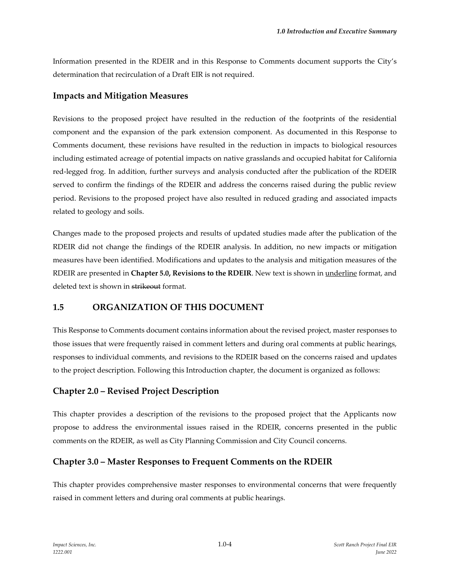Information presented in the RDEIR and in this Response to Comments document supports the City's determination that recirculation of a Draft EIR is not required.

#### **Impacts and Mitigation Measures**

Revisions to the proposed project have resulted in the reduction of the footprints of the residential component and the expansion of the park extension component. As documented in this Response to Comments document, these revisions have resulted in the reduction in impacts to biological resources including estimated acreage of potential impacts on native grasslands and occupied habitat for California red-legged frog. In addition, further surveys and analysis conducted after the publication of the RDEIR served to confirm the findings of the RDEIR and address the concerns raised during the public review period. Revisions to the proposed project have also resulted in reduced grading and associated impacts related to geology and soils.

Changes made to the proposed projects and results of updated studies made after the publication of the RDEIR did not change the findings of the RDEIR analysis. In addition, no new impacts or mitigation measures have been identified. Modifications and updates to the analysis and mitigation measures of the RDEIR are presented in **Chapter 5.0, Revisions to the RDEIR**. New text is shown in underline format, and deleted text is shown in strikeout format.

#### **1.5 ORGANIZATION OF THIS DOCUMENT**

This Response to Comments document contains information about the revised project, master responses to those issues that were frequently raised in comment letters and during oral comments at public hearings, responses to individual comments, and revisions to the RDEIR based on the concerns raised and updates to the project description. Following this Introduction chapter, the document is organized as follows:

#### **Chapter 2.0 – Revised Project Description**

This chapter provides a description of the revisions to the proposed project that the Applicants now propose to address the environmental issues raised in the RDEIR, concerns presented in the public comments on the RDEIR, as well as City Planning Commission and City Council concerns.

#### **Chapter 3.0 – Master Responses to Frequent Comments on the RDEIR**

This chapter provides comprehensive master responses to environmental concerns that were frequently raised in comment letters and during oral comments at public hearings.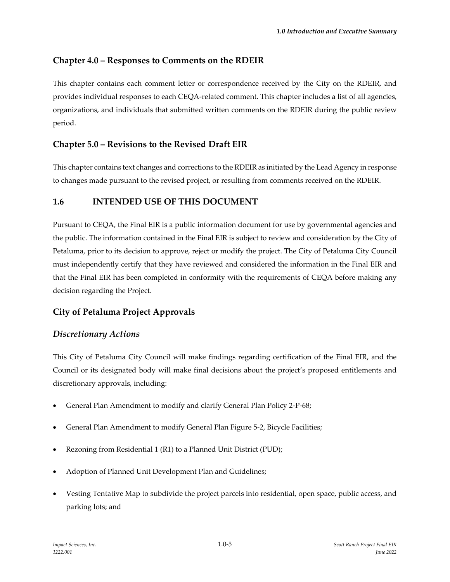## **Chapter 4.0 – Responses to Comments on the RDEIR**

This chapter contains each comment letter or correspondence received by the City on the RDEIR, and provides individual responses to each CEQA-related comment. This chapter includes a list of all agencies, organizations, and individuals that submitted written comments on the RDEIR during the public review period.

## **Chapter 5.0 – Revisions to the Revised Draft EIR**

This chapter contains text changes and corrections to the RDEIR as initiated by the Lead Agency in response to changes made pursuant to the revised project, or resulting from comments received on the RDEIR.

## **1.6 INTENDED USE OF THIS DOCUMENT**

Pursuant to CEQA, the Final EIR is a public information document for use by governmental agencies and the public. The information contained in the Final EIR is subject to review and consideration by the City of Petaluma, prior to its decision to approve, reject or modify the project. The City of Petaluma City Council must independently certify that they have reviewed and considered the information in the Final EIR and that the Final EIR has been completed in conformity with the requirements of CEQA before making any decision regarding the Project.

# **City of Petaluma Project Approvals**

## *Discretionary Actions*

This City of Petaluma City Council will make findings regarding certification of the Final EIR, and the Council or its designated body will make final decisions about the project's proposed entitlements and discretionary approvals, including:

- General Plan Amendment to modify and clarify General Plan Policy 2-P-68;
- General Plan Amendment to modify General Plan Figure 5-2, Bicycle Facilities;
- Rezoning from Residential 1 (R1) to a Planned Unit District (PUD);
- Adoption of Planned Unit Development Plan and Guidelines;
- Vesting Tentative Map to subdivide the project parcels into residential, open space, public access, and parking lots; and